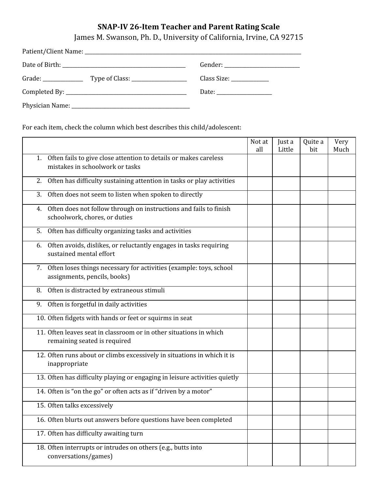## **SNAP-IV 26-Item Teacher and Parent Rating Scale**

James M. Swanson, Ph. D., University of California, Irvine, CA 92715

| Grade: $\frac{1}{\sqrt{1-\frac{1}{2}}\sqrt{1-\frac{1}{2}}\sqrt{1-\frac{1}{2}}\sqrt{1-\frac{1}{2}}\sqrt{1-\frac{1}{2}}\sqrt{1-\frac{1}{2}}\sqrt{1-\frac{1}{2}}\sqrt{1-\frac{1}{2}}\sqrt{1-\frac{1}{2}}\sqrt{1-\frac{1}{2}}\sqrt{1-\frac{1}{2}}\sqrt{1-\frac{1}{2}}\sqrt{1-\frac{1}{2}}\sqrt{1-\frac{1}{2}}\sqrt{1-\frac{1}{2}}\sqrt{1-\frac{1}{2}}\sqrt{1-\frac{1}{2}}\sqrt{1-\frac{1}{2}}\sqrt{1-\frac{1}{2$ |  |
|--------------------------------------------------------------------------------------------------------------------------------------------------------------------------------------------------------------------------------------------------------------------------------------------------------------------------------------------------------------------------------------------------------------|--|
|                                                                                                                                                                                                                                                                                                                                                                                                              |  |
|                                                                                                                                                                                                                                                                                                                                                                                                              |  |

For each item, check the column which best describes this child/adolescent:

|                                                                                                           | Not at<br>all | Just a<br>Little | Quite a<br>bit | Very<br>Much |
|-----------------------------------------------------------------------------------------------------------|---------------|------------------|----------------|--------------|
| Often fails to give close attention to details or makes careless<br>1.<br>mistakes in schoolwork or tasks |               |                  |                |              |
| Often has difficulty sustaining attention in tasks or play activities<br>2.                               |               |                  |                |              |
| Often does not seem to listen when spoken to directly<br>3.                                               |               |                  |                |              |
| Often does not follow through on instructions and fails to finish<br>4.<br>schoolwork, chores, or duties  |               |                  |                |              |
| Often has difficulty organizing tasks and activities<br>5.                                                |               |                  |                |              |
| Often avoids, dislikes, or reluctantly engages in tasks requiring<br>6.<br>sustained mental effort        |               |                  |                |              |
| Often loses things necessary for activities (example: toys, school<br>7.<br>assignments, pencils, books)  |               |                  |                |              |
| Often is distracted by extraneous stimuli<br>8.                                                           |               |                  |                |              |
| Often is forgetful in daily activities<br>9.                                                              |               |                  |                |              |
| 10. Often fidgets with hands or feet or squirms in seat                                                   |               |                  |                |              |
| 11. Often leaves seat in classroom or in other situations in which<br>remaining seated is required        |               |                  |                |              |
| 12. Often runs about or climbs excessively in situations in which it is<br>inappropriate                  |               |                  |                |              |
| 13. Often has difficulty playing or engaging in leisure activities quietly                                |               |                  |                |              |
| 14. Often is "on the go" or often acts as if "driven by a motor"                                          |               |                  |                |              |
| 15. Often talks excessively                                                                               |               |                  |                |              |
| 16. Often blurts out answers before questions have been completed                                         |               |                  |                |              |
| 17. Often has difficulty awaiting turn                                                                    |               |                  |                |              |
| 18. Often interrupts or intrudes on others (e.g., butts into<br>conversations/games)                      |               |                  |                |              |